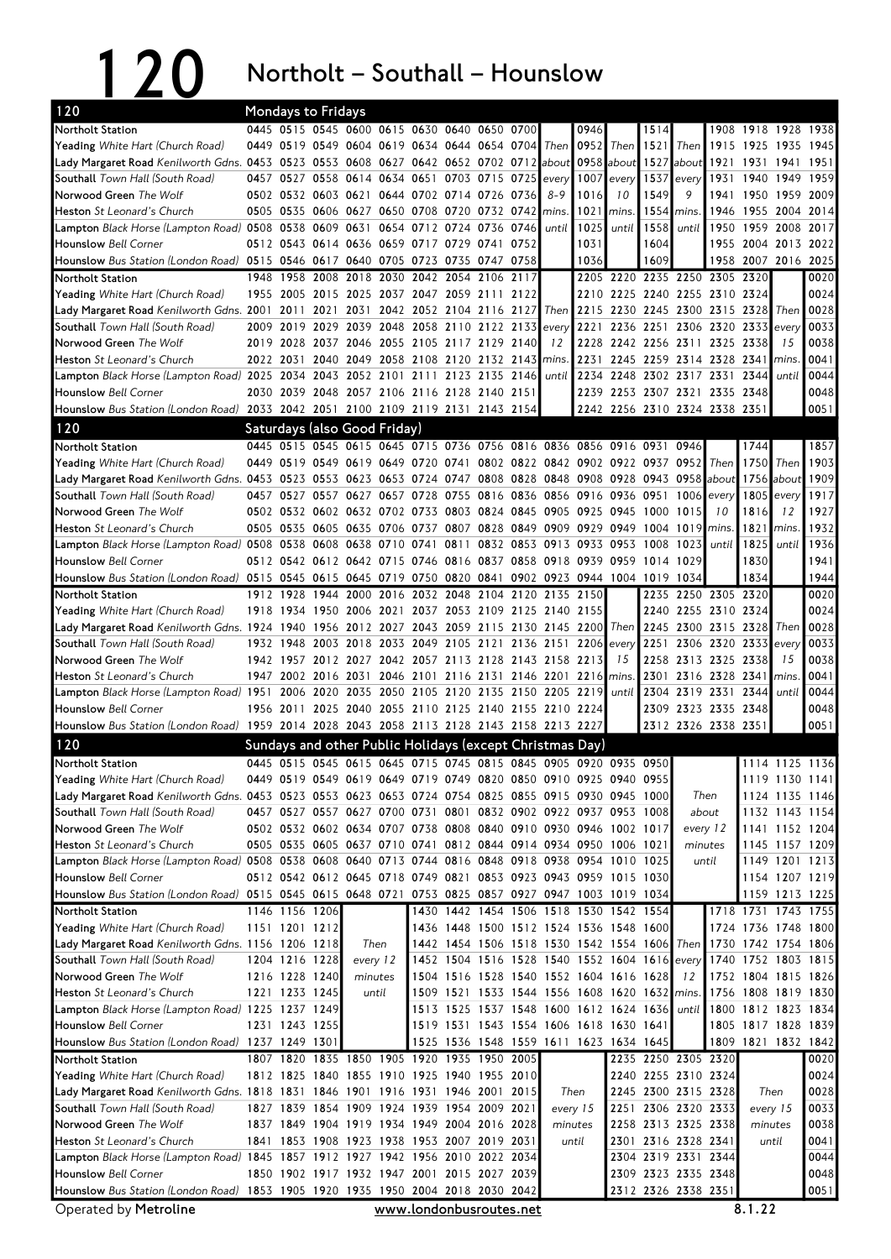120 Northolt – Southall – Hounslow

| 120                                                                                                                                                        |           |                | <b>Mondays to Fridays</b>                                                                                                                 |                |      |                                              |                           |                |      |                                                                                         |      |                                    |             |                     |                                                      |                |                                            |              |
|------------------------------------------------------------------------------------------------------------------------------------------------------------|-----------|----------------|-------------------------------------------------------------------------------------------------------------------------------------------|----------------|------|----------------------------------------------|---------------------------|----------------|------|-----------------------------------------------------------------------------------------|------|------------------------------------|-------------|---------------------|------------------------------------------------------|----------------|--------------------------------------------|--------------|
| Northolt Station                                                                                                                                           |           |                | 0445 0515 0545 0600 0615 0630 0640 0650 0700                                                                                              |                |      |                                              |                           |                |      |                                                                                         | 0946 |                                    | 1514        |                     |                                                      |                | 1908 1918 1928 1938                        |              |
| <b>Yeading</b> White Hart (Church Road)                                                                                                                    |           |                | 0449 0519 0549 0604 0619 0634 0644 0654 0704                                                                                              |                |      |                                              |                           |                |      | Then                                                                                    | 0952 | $\blacksquare$ Then $\blacksquare$ | 1521        | Then                | 1915 1925                                            |                | 1935                                       | 1945         |
| Lady Margaret Road Kenilworth Gdns. 0453 0523 0553 0608 0627 0642 0652 0702 0712 about                                                                     |           |                |                                                                                                                                           |                |      |                                              |                           |                |      |                                                                                         |      | 0958 about 1527 about              |             |                     | 1921 1931                                            |                | 1941                                       | 1951         |
| <b>Southall</b> Town Hall (South Road)                                                                                                                     |           |                | 0457 0527 0558 0614 0634                                                                                                                  |                |      |                                              | 0651 0703 0715 0725 every |                |      |                                                                                         |      | $1007$ every 1537 every            |             |                     | 1931                                                 | 1940           | 1949                                       | 1959         |
| Norwood Green The Wolf                                                                                                                                     |           |                | 0502 0532 0603 0621 0644 0702 0714 0726 0736                                                                                              |                |      |                                              |                           |                |      | $8 - 9$                                                                                 | 1016 | 10                                 | 1549        | 9                   |                                                      |                | 1941 1950 1959 2009                        |              |
| <b>Heston</b> St Leonard's Church                                                                                                                          | 0505      |                | 0535 0606 0627 0650 0708 0720 0732 0742                                                                                                   |                |      |                                              |                           |                |      | mins                                                                                    | 1021 | mins                               | $1554$ mins |                     |                                                      | 1946 1955      | 2004 2014                                  |              |
| <b>Lampton</b> Black Horse (Lampton Road) 0508 0538                                                                                                        |           |                | 0609 0631                                                                                                                                 |                | 0654 |                                              | 0712 0724 0736 0746       |                |      | until                                                                                   | 1025 | until                              | 1558        | until               |                                                      |                | 1950 1959 2008                             | 2017         |
| <b>Hounslow Bell Corner</b>                                                                                                                                |           |                | 0512 0543 0614 0636 0659 0717 0729 0741 0752                                                                                              |                |      |                                              |                           |                |      |                                                                                         | 1031 |                                    | 1604        |                     |                                                      |                | 1955 2004 2013                             | 2022         |
| Hounslow Bus Station (London Road) 0515 0546 0617 0640 0705                                                                                                |           |                |                                                                                                                                           |                |      | 0723 0735 0747 0758                          |                           |                |      |                                                                                         | 1036 |                                    | 1609        |                     |                                                      | 1958 2007 2016 |                                            | 2025         |
| Northolt Station                                                                                                                                           | 1948      | 1958           | 2008 2018                                                                                                                                 |                | 2030 |                                              | 2042 2054 2106            |                | 2117 |                                                                                         |      |                                    |             |                     | 2205 2220 2235 2250 2305 2320                        |                |                                            | 0020         |
| <b>Yeading</b> White Hart (Church Road)                                                                                                                    |           |                | 1955 2005 2015 2025 2037 2047 2059 2111 2122                                                                                              |                |      |                                              |                           |                |      |                                                                                         |      |                                    |             |                     | 2210 2225 2240 2255 2310 2324                        |                |                                            | 0024         |
| Lady Margaret Road Kenilworth Gdns. 2001 2011                                                                                                              |           |                |                                                                                                                                           |                |      | 2021 2031 2042 2052 2104 2116 2127           |                           |                |      | Then                                                                                    |      |                                    |             |                     | 2215 2230 2245 2300 2315 2328                        |                | Then                                       | 0028         |
| Southall Town Hall (South Road)                                                                                                                            |           | 2009 2019      |                                                                                                                                           |                |      | 2029 2039 2048 2058 2110 2122 2133           |                           |                |      | every                                                                                   | 2221 |                                    | 2236 2251   |                     | 2306 2320 2333                                       |                | every                                      | 0033<br>0038 |
| Norwood Green The Wolf                                                                                                                                     | 2022 2031 |                | 2019 2028 2037 2046 2055 2105 2117 2129 2140                                                                                              | 2040 2049 2058 |      | 2108 2120 2132 2143 mins.                    |                           |                |      | 12                                                                                      | 2231 | 2245                               |             |                     | 2228 2242 2256 2311 2325 2338<br>2259 2314 2328 2341 |                | 15                                         | 0041         |
| <b>Heston</b> St Leonard's Church<br>Lampton Black Horse (Lampton Road) 2025                                                                               |           | 2034           |                                                                                                                                           | 2043 2052 2101 |      | 2111                                         |                           | 2123 2135 2146 |      | until                                                                                   |      | 2234 2248                          | 2302 2317   |                     | 2331 2344                                            |                | mins<br>until                              | 0044         |
| <b>Hounslow Bell Corner</b>                                                                                                                                |           |                | 2030 2039 2048 2057 2106 2116 2128 2140 2151                                                                                              |                |      |                                              |                           |                |      |                                                                                         |      |                                    |             |                     | 2239 2253 2307 2321 2335 2348                        |                |                                            | 0048         |
| Hounslow Bus Station (London Road) 2033 2042 2051 2100 2109 2119 2131 2143 2154                                                                            |           |                |                                                                                                                                           |                |      |                                              |                           |                |      |                                                                                         |      |                                    |             |                     | 2242 2256 2310 2324 2338 2351                        |                |                                            | 0051         |
|                                                                                                                                                            |           |                |                                                                                                                                           |                |      |                                              |                           |                |      |                                                                                         |      |                                    |             |                     |                                                      |                |                                            |              |
| $\overline{120}$                                                                                                                                           |           |                | Saturdays (also Good Friday)                                                                                                              |                |      |                                              |                           |                |      |                                                                                         |      |                                    |             |                     |                                                      |                |                                            |              |
| Northolt Station                                                                                                                                           | 0449      |                | 0445 0515 0545 0615 0645 0715 0736 0756 0816 0836 0856 0916 0931 0946<br>0519 0549 0619 0649 0720 0741 0802 0822 0842 0902 0922 0937 0952 |                |      |                                              |                           |                |      |                                                                                         |      |                                    |             |                     |                                                      | 1744<br>1750   | Then                                       | 1857<br>1903 |
| <b>Yeading</b> White Hart (Church Road)<br>Lady Margaret Road Kenilworth Gdns. 0453 0523 0553 0623 0653 0724 0747 0808 0828 0848 0908 0928 0943 0958 about |           |                |                                                                                                                                           |                |      |                                              |                           |                |      |                                                                                         |      |                                    |             |                     | Then                                                 |                | 1756 about                                 | 1909         |
| Southall Town Hall (South Road)                                                                                                                            |           |                | 0457 0527 0557 0627 0657 0728 0755 0816 0836 0856 0916 0936 0951                                                                          |                |      |                                              |                           |                |      |                                                                                         |      |                                    |             | $1006$ every        |                                                      |                | $1805$ every                               | 1917         |
| Norwood Green The Wolf                                                                                                                                     |           |                | 0502 0532 0602 0632 0702 0733 0803 0824 0845                                                                                              |                |      |                                              |                           |                |      | 0905 0925 0945                                                                          |      |                                    | 1000        | 1015                | 10                                                   | 1816           | 12                                         | 1927         |
| <b>Heston</b> St Leonard's Church                                                                                                                          |           |                | 0505 0535 0605 0635 0706 0737 0807 0828 0849 0909 0929 0949                                                                               |                |      |                                              |                           |                |      |                                                                                         |      |                                    |             | 1004 1019           | mins.                                                | 1821           | mins.                                      | 1932         |
| 2033 10913 1253 1200 1201 10821 0508 10913 10913 10914 10914 10916 10916 10916 10916 10916 10916 1093                                                      |           |                |                                                                                                                                           |                |      |                                              |                           |                |      |                                                                                         |      |                                    | 1008 1023   |                     | until                                                | 1825           | until                                      | 1936         |
| <b>Hounslow Bell Corner</b>                                                                                                                                |           |                | 0512 0542 0612 0642 0715 0746 0816 0837 0858 0918 0939 0959 1014 1029                                                                     |                |      |                                              |                           |                |      |                                                                                         |      |                                    |             |                     |                                                      | 1830           |                                            | 1941         |
| Hounslow Bus Station (London Road) 0515 0545 0615 0645 0719 0750 0820 0841 0902 0923 0944 1004 1019 1034                                                   |           |                |                                                                                                                                           |                |      |                                              |                           |                |      |                                                                                         |      |                                    |             |                     |                                                      | 1834           |                                            | 1944         |
| <b>Northolt Station</b>                                                                                                                                    |           | 1912 1928      |                                                                                                                                           |                |      | 1944 2000 2016 2032 2048 2104 2120 2135 2150 |                           |                |      |                                                                                         |      |                                    |             |                     | 2235 2250 2305 2320                                  |                |                                            | 0020         |
| Yeading White Hart (Church Road)                                                                                                                           |           |                | 1918 1934 1950 2006 2021                                                                                                                  |                |      |                                              |                           |                |      | 2037 2053 2109 2125 2140 2155                                                           |      |                                    |             |                     | 2240 2255 2310 2324                                  |                |                                            | 0024         |
| Lady Margaret Road Kenilworth Gdns. 1924 1940                                                                                                              |           |                | 1956 2012 2027 2043 2059 2115 2130 2145 2200 Then 2245                                                                                    |                |      |                                              |                           |                |      |                                                                                         |      |                                    |             |                     | 2300 2315 2328 Then                                  |                |                                            | 0028         |
| Southall Town Hall (South Road)                                                                                                                            |           | 1932 1948      | 2003 2018 2033 2049 2105 2121 2136 2151 2206 every                                                                                        |                |      |                                              |                           |                |      |                                                                                         |      |                                    | 2251        |                     | 2306 2320 2333                                       |                | every                                      | 0033         |
| Norwood Green The Wolf                                                                                                                                     |           | 1942 1957      | 2012 2027 2042 2057 2113 2128 2143 2158 2213                                                                                              |                |      |                                              |                           |                |      |                                                                                         |      | 15                                 | 2258        |                     | 2313 2325 2338                                       |                | 15                                         | 0038         |
| <b>Heston</b> St Leonard's Church                                                                                                                          |           |                | 1947 2002 2016 2031 2046 2101 2116 2131 2146 2201 2216 mins                                                                               |                |      |                                              |                           |                |      |                                                                                         |      |                                    | 2301        |                     | 2316 2328 2341                                       |                | mins.                                      | 0041         |
| <b>Lampton</b> Black Horse (Lampton Road) 1951                                                                                                             |           |                | 2006 2020 2035                                                                                                                            |                |      | 2050 2105 2120 2135 2150 2205 2219           |                           |                |      |                                                                                         |      | until                              |             |                     | 2304 2319 2331 2344                                  |                | until                                      | 0044         |
| <b>Hounslow Bell Corner</b>                                                                                                                                |           | 1956 2011      |                                                                                                                                           | 2025 2040 2055 |      | 2110 2125 2140 2155 2210 2224                |                           |                |      |                                                                                         |      |                                    |             |                     | 2309 2323 2335 2348                                  |                |                                            | 0048         |
| Hounslow Bus Station (London Road) 1959 2014 2028 2043 2058 2113 2128 2143 2158 2213 2227                                                                  |           |                |                                                                                                                                           |                |      |                                              |                           |                |      |                                                                                         |      |                                    |             |                     | 2312 2326 2338 2351                                  |                |                                            | 0051         |
| 120                                                                                                                                                        |           |                | Sundays and other Public Holidays (except Christmas Day)                                                                                  |                |      |                                              |                           |                |      |                                                                                         |      |                                    |             |                     |                                                      |                |                                            |              |
| <b>Northolt Station</b>                                                                                                                                    |           |                | 0445 0515 0545 0615 0645 0715 0745 0815 0845 0905 0920 0935 0950                                                                          |                |      |                                              |                           |                |      |                                                                                         |      |                                    |             |                     |                                                      |                | 1114 1125 1136                             |              |
| Yeading White Hart (Church Road)                                                                                                                           |           |                | 0449 0519 0549 0619 0649 0719 0749 0820 0850 0910 0925 0940 0955                                                                          |                |      |                                              |                           |                |      |                                                                                         |      |                                    |             |                     |                                                      |                | 1119 1130 1141                             |              |
| Lady Margaret Road Kenilworth Gdns. 0453 0523 0553 0623 0653 0724 0754 0825 0855 0915 0930 0945 1000                                                       |           |                |                                                                                                                                           |                |      |                                              |                           |                |      |                                                                                         |      |                                    |             | Then                |                                                      |                | 1124 1135 1146                             |              |
| Southall Town Hall (South Road)                                                                                                                            |           |                | 0457 0527 0557 0627 0700 0731 0801 0832 0902 0922 0937 0953 1008                                                                          |                |      |                                              |                           |                |      |                                                                                         |      |                                    |             | about               |                                                      |                | 1132 1143 1154                             |              |
| Norwood Green The Wolf                                                                                                                                     |           |                | 0502 0532 0602 0634 0707 0738 0808 0840 0910 0930 0946 1002 1017                                                                          |                |      |                                              |                           |                |      |                                                                                         |      |                                    |             |                     | every 12                                             |                | 1141 1152 1204                             |              |
| Heston St Leonard's Church                                                                                                                                 |           |                | 0505 0535 0605 0637 0710 0741 0812 0844 0914 0934 0950 1006 1021                                                                          |                |      |                                              |                           |                |      |                                                                                         |      |                                    |             | minutes             |                                                      |                | 1145 1157 1209                             |              |
| Lampton Black Horse (Lampton Road) 0508 0538 0608 0640 0713 0744 0816 0848 0918 0938 0954 1010 1025                                                        |           |                |                                                                                                                                           |                |      |                                              |                           |                |      |                                                                                         |      |                                    |             |                     | until                                                |                | 1149 1201 1213                             |              |
| <b>Hounslow Bell Corner</b>                                                                                                                                |           |                | 0512 0542 0612 0645 0718 0749 0821 0853 0923 0943 0959 1015 1030                                                                          |                |      |                                              |                           |                |      |                                                                                         |      |                                    |             |                     |                                                      |                | 1154 1207 1219                             |              |
| Hounslow Bus Station (London Road) 0515 0545 0615 0648 0721 0753 0825 0857 0927 0947 1003 1019 1034                                                        |           |                |                                                                                                                                           |                |      |                                              |                           |                |      |                                                                                         |      |                                    |             |                     |                                                      |                | 1159 1213 1225                             |              |
| Northolt Station<br>Yeading White Hart (Church Road)                                                                                                       |           | 1146 1156 1206 |                                                                                                                                           |                |      |                                              |                           |                |      | 1430 1442 1454 1506 1518 1530 1542 1554                                                 |      |                                    |             |                     |                                                      |                | 1718 1731 1743 1755                        |              |
| Lady Margaret Road Kenilworth Gdns. 1156 1206 1218                                                                                                         |           | 1151 1201 1212 |                                                                                                                                           | Then           |      |                                              |                           |                |      | 1436 1448 1500 1512 1524 1536 1548 1600<br>1442 1454 1506 1518 1530 1542 1554 1606 Then |      |                                    |             |                     |                                                      |                | 1724 1736 1748 1800<br>1730 1742 1754 1806 |              |
| Southall Town Hall (South Road)                                                                                                                            |           | 1204 1216 1228 |                                                                                                                                           | every 12       |      |                                              |                           |                |      | 1452 1504 1516 1528 1540 1552 1604 1616 every                                           |      |                                    |             |                     |                                                      |                | 1740 1752 1803 1815                        |              |
| Norwood Green The Wolf                                                                                                                                     |           | 1216 1228 1240 |                                                                                                                                           | minutes        |      |                                              |                           |                |      | 1504 1516 1528 1540 1552 1604 1616 1628                                                 |      |                                    |             | 12                  |                                                      |                | 1752 1804 1815 1826                        |              |
| Heston St Leonard's Church                                                                                                                                 |           | 1221 1233 1245 |                                                                                                                                           | until          |      |                                              |                           |                |      | 1509 1521 1533 1544 1556 1608 1620 1632                                                 |      |                                    |             | mins.               |                                                      |                | 1756 1808 1819 1830                        |              |
| Lampton Black Horse (Lampton Road) 1225 1237 1249                                                                                                          |           |                |                                                                                                                                           |                |      |                                              |                           |                |      | 1513 1525 1537 1548 1600 1612 1624 1636                                                 |      |                                    |             | until               |                                                      |                | 1800 1812 1823 1834                        |              |
| <b>Hounslow Bell Corner</b>                                                                                                                                |           | 1231 1243 1255 |                                                                                                                                           |                |      |                                              |                           |                |      | 1519 1531 1543 1554 1606 1618 1630 1641                                                 |      |                                    |             |                     |                                                      |                | 1805 1817 1828 1839                        |              |
| Hounslow Bus Station (London Road) 1237 1249 1301                                                                                                          |           |                |                                                                                                                                           |                |      |                                              |                           |                |      | 1525 1536 1548 1559 1611 1623 1634 1645                                                 |      |                                    |             |                     |                                                      |                | 1809 1821 1832 1842                        |              |
| Northolt Station                                                                                                                                           |           |                | 1807 1820 1835 1850 1905 1920 1935 1950 2005                                                                                              |                |      |                                              |                           |                |      |                                                                                         |      |                                    |             | 2235 2250 2305 2320 |                                                      |                |                                            | 0020         |
| Yeading White Hart (Church Road)                                                                                                                           |           |                | 1812 1825 1840 1855 1910 1925 1940 1955 2010                                                                                              |                |      |                                              |                           |                |      |                                                                                         |      |                                    |             | 2240 2255 2310 2324 |                                                      |                |                                            | 0024         |
| Lady Margaret Road Kenilworth Gdns. 1818 1831 1846 1901 1916 1931 1946 2001 2015                                                                           |           |                |                                                                                                                                           |                |      |                                              |                           |                |      | Then                                                                                    |      |                                    |             | 2245 2300 2315 2328 |                                                      |                | Then                                       | 0028         |
| Southall Town Hall (South Road)                                                                                                                            |           |                | 1827 1839 1854 1909 1924 1939 1954 2009 2021                                                                                              |                |      |                                              |                           |                |      | every 15                                                                                |      |                                    |             | 2251 2306 2320 2333 |                                                      |                | every 15                                   | 0033         |
| Norwood Green The Wolf                                                                                                                                     |           |                | 1837 1849 1904 1919 1934 1949 2004 2016 2028                                                                                              |                |      |                                              |                           |                |      | minutes                                                                                 |      |                                    |             | 2258 2313 2325 2338 |                                                      |                | minutes                                    | 0038         |
| Heston St Leonard's Church                                                                                                                                 |           |                | 1841 1853 1908 1923 1938 1953 2007 2019 2031                                                                                              |                |      |                                              |                           |                |      | until                                                                                   |      |                                    |             | 2301 2316 2328 2341 |                                                      |                | until                                      | 0041         |
| Lampton Black Horse (Lampton Road) 1845 1857 1912 1927 1942 1956 2010 2022 2034                                                                            |           |                |                                                                                                                                           |                |      |                                              |                           |                |      |                                                                                         |      |                                    |             | 2304 2319 2331 2344 |                                                      |                |                                            | 0044         |
| <b>Hounslow Bell Corner</b>                                                                                                                                |           |                | 1850 1902 1917 1932 1947 2001 2015 2027 2039                                                                                              |                |      |                                              |                           |                |      |                                                                                         |      |                                    |             | 2309 2323 2335 2348 |                                                      |                |                                            | 0048         |
| Hounslow Bus Station (London Road) 1853 1905 1920 1935 1950 2004 2018 2030 2042                                                                            |           |                |                                                                                                                                           |                |      |                                              |                           |                |      |                                                                                         |      |                                    |             | 2312 2326 2338 2351 |                                                      |                |                                            | 0051         |
| Operated by Metroline                                                                                                                                      |           |                |                                                                                                                                           |                |      | www.londonbusroutes.net                      |                           |                |      |                                                                                         |      |                                    |             |                     |                                                      | 8.1.22         |                                            |              |